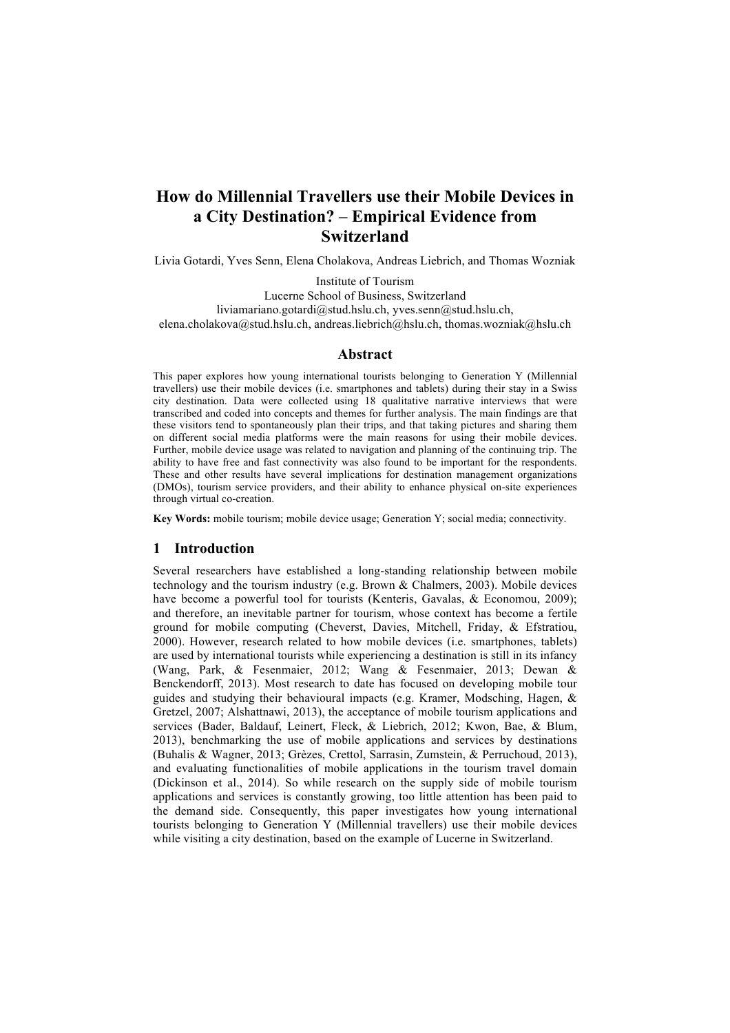# **How do Millennial Travellers use their Mobile Devices in a City Destination? – Empirical Evidence from Switzerland**

Livia Gotardi, Yves Senn, Elena Cholakova, Andreas Liebrich, and Thomas Wozniak

Institute of Tourism Lucerne School of Business, Switzerland liviamariano.gotardi@stud.hslu.ch, yves.senn@stud.hslu.ch, elena.cholakova@stud.hslu.ch, andreas.liebrich@hslu.ch, thomas.wozniak@hslu.ch

## **Abstract**

This paper explores how young international tourists belonging to Generation Y (Millennial travellers) use their mobile devices (i.e. smartphones and tablets) during their stay in a Swiss city destination. Data were collected using 18 qualitative narrative interviews that were transcribed and coded into concepts and themes for further analysis. The main findings are that these visitors tend to spontaneously plan their trips, and that taking pictures and sharing them on different social media platforms were the main reasons for using their mobile devices. Further, mobile device usage was related to navigation and planning of the continuing trip. The ability to have free and fast connectivity was also found to be important for the respondents. These and other results have several implications for destination management organizations (DMOs), tourism service providers, and their ability to enhance physical on-site experiences through virtual co-creation.

**Key Words:** mobile tourism; mobile device usage; Generation Y; social media; connectivity.

# **1 Introduction**

Several researchers have established a long-standing relationship between mobile technology and the tourism industry (e.g. Brown  $&$  Chalmers, 2003). Mobile devices have become a powerful tool for tourists (Kenteris, Gavalas, & Economou, 2009); and therefore, an inevitable partner for tourism, whose context has become a fertile ground for mobile computing (Cheverst, Davies, Mitchell, Friday, & Efstratiou, 2000). However, research related to how mobile devices (i.e. smartphones, tablets) are used by international tourists while experiencing a destination is still in its infancy (Wang, Park, & Fesenmaier, 2012; Wang & Fesenmaier, 2013; Dewan & Benckendorff, 2013). Most research to date has focused on developing mobile tour guides and studying their behavioural impacts (e.g. Kramer, Modsching, Hagen, & Gretzel, 2007; Alshattnawi, 2013), the acceptance of mobile tourism applications and services (Bader, Baldauf, Leinert, Fleck, & Liebrich, 2012; Kwon, Bae, & Blum, 2013), benchmarking the use of mobile applications and services by destinations (Buhalis & Wagner, 2013; Grèzes, Crettol, Sarrasin, Zumstein, & Perruchoud, 2013), and evaluating functionalities of mobile applications in the tourism travel domain (Dickinson et al., 2014). So while research on the supply side of mobile tourism applications and services is constantly growing, too little attention has been paid to the demand side. Consequently, this paper investigates how young international tourists belonging to Generation Y (Millennial travellers) use their mobile devices while visiting a city destination, based on the example of Lucerne in Switzerland.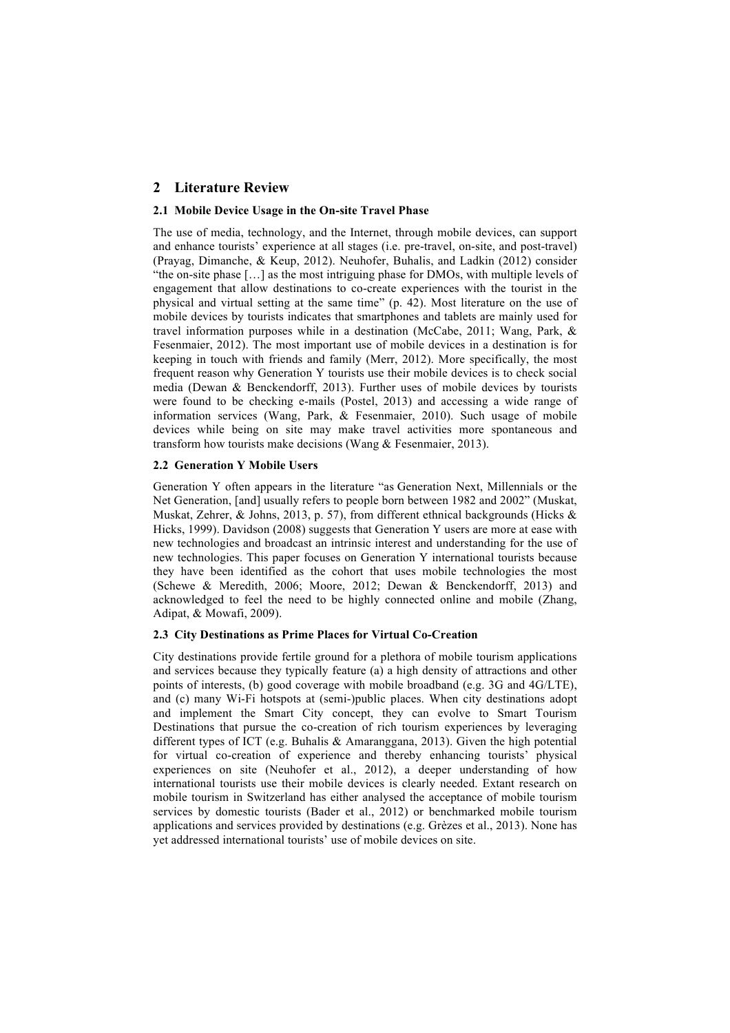# **2 Literature Review**

#### **2.1 Mobile Device Usage in the On-site Travel Phase**

The use of media, technology, and the Internet, through mobile devices, can support and enhance tourists' experience at all stages (i.e. pre-travel, on-site, and post-travel) (Prayag, Dimanche, & Keup, 2012). Neuhofer, Buhalis, and Ladkin (2012) consider "the on-site phase […] as the most intriguing phase for DMOs, with multiple levels of engagement that allow destinations to co-create experiences with the tourist in the physical and virtual setting at the same time" (p. 42). Most literature on the use of mobile devices by tourists indicates that smartphones and tablets are mainly used for travel information purposes while in a destination (McCabe, 2011; Wang, Park, & Fesenmaier, 2012). The most important use of mobile devices in a destination is for keeping in touch with friends and family (Merr, 2012). More specifically, the most frequent reason why Generation Y tourists use their mobile devices is to check social media (Dewan & Benckendorff, 2013). Further uses of mobile devices by tourists were found to be checking e-mails (Postel, 2013) and accessing a wide range of information services (Wang, Park, & Fesenmaier, 2010). Such usage of mobile devices while being on site may make travel activities more spontaneous and transform how tourists make decisions (Wang & Fesenmaier, 2013).

## **2.2 Generation Y Mobile Users**

Generation Y often appears in the literature "as Generation Next, Millennials or the Net Generation, [and] usually refers to people born between 1982 and 2002" (Muskat, Muskat, Zehrer, & Johns, 2013, p. 57), from different ethnical backgrounds (Hicks & Hicks, 1999). Davidson (2008) suggests that Generation Y users are more at ease with new technologies and broadcast an intrinsic interest and understanding for the use of new technologies. This paper focuses on Generation Y international tourists because they have been identified as the cohort that uses mobile technologies the most (Schewe & Meredith, 2006; Moore, 2012; Dewan & Benckendorff, 2013) and acknowledged to feel the need to be highly connected online and mobile (Zhang, Adipat, & Mowafi, 2009).

#### **2.3 City Destinations as Prime Places for Virtual Co-Creation**

City destinations provide fertile ground for a plethora of mobile tourism applications and services because they typically feature (a) a high density of attractions and other points of interests, (b) good coverage with mobile broadband (e.g. 3G and 4G/LTE), and (c) many Wi-Fi hotspots at (semi-)public places. When city destinations adopt and implement the Smart City concept, they can evolve to Smart Tourism Destinations that pursue the co-creation of rich tourism experiences by leveraging different types of ICT (e.g. Buhalis & Amaranggana, 2013). Given the high potential for virtual co-creation of experience and thereby enhancing tourists' physical experiences on site (Neuhofer et al., 2012), a deeper understanding of how international tourists use their mobile devices is clearly needed. Extant research on mobile tourism in Switzerland has either analysed the acceptance of mobile tourism services by domestic tourists (Bader et al., 2012) or benchmarked mobile tourism applications and services provided by destinations (e.g. Grèzes et al., 2013). None has yet addressed international tourists' use of mobile devices on site.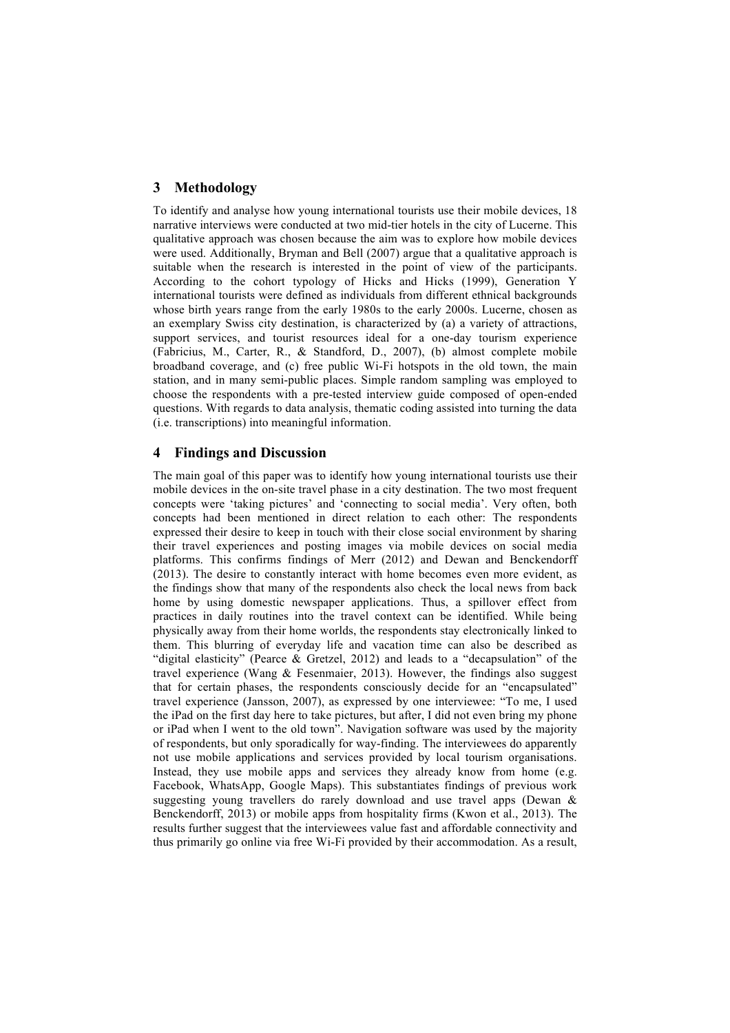# **3 Methodology**

To identify and analyse how young international tourists use their mobile devices, 18 narrative interviews were conducted at two mid-tier hotels in the city of Lucerne. This qualitative approach was chosen because the aim was to explore how mobile devices were used. Additionally, Bryman and Bell (2007) argue that a qualitative approach is suitable when the research is interested in the point of view of the participants. According to the cohort typology of Hicks and Hicks (1999), Generation Y international tourists were defined as individuals from different ethnical backgrounds whose birth years range from the early 1980s to the early 2000s. Lucerne, chosen as an exemplary Swiss city destination, is characterized by (a) a variety of attractions, support services, and tourist resources ideal for a one-day tourism experience (Fabricius, M., Carter, R., & Standford, D., 2007), (b) almost complete mobile broadband coverage, and (c) free public Wi-Fi hotspots in the old town, the main station, and in many semi-public places. Simple random sampling was employed to choose the respondents with a pre-tested interview guide composed of open-ended questions. With regards to data analysis, thematic coding assisted into turning the data (i.e. transcriptions) into meaningful information.

# **4 Findings and Discussion**

The main goal of this paper was to identify how young international tourists use their mobile devices in the on-site travel phase in a city destination. The two most frequent concepts were 'taking pictures' and 'connecting to social media'. Very often, both concepts had been mentioned in direct relation to each other: The respondents expressed their desire to keep in touch with their close social environment by sharing their travel experiences and posting images via mobile devices on social media platforms. This confirms findings of Merr (2012) and Dewan and Benckendorff (2013). The desire to constantly interact with home becomes even more evident, as the findings show that many of the respondents also check the local news from back home by using domestic newspaper applications. Thus, a spillover effect from practices in daily routines into the travel context can be identified. While being physically away from their home worlds, the respondents stay electronically linked to them. This blurring of everyday life and vacation time can also be described as "digital elasticity" (Pearce & Gretzel, 2012) and leads to a "decapsulation" of the travel experience (Wang & Fesenmaier, 2013). However, the findings also suggest that for certain phases, the respondents consciously decide for an "encapsulated" travel experience (Jansson, 2007), as expressed by one interviewee: "To me, I used the iPad on the first day here to take pictures, but after, I did not even bring my phone or iPad when I went to the old town". Navigation software was used by the majority of respondents, but only sporadically for way-finding. The interviewees do apparently not use mobile applications and services provided by local tourism organisations. Instead, they use mobile apps and services they already know from home (e.g. Facebook, WhatsApp, Google Maps). This substantiates findings of previous work suggesting young travellers do rarely download and use travel apps (Dewan & Benckendorff, 2013) or mobile apps from hospitality firms (Kwon et al., 2013). The results further suggest that the interviewees value fast and affordable connectivity and thus primarily go online via free Wi-Fi provided by their accommodation. As a result,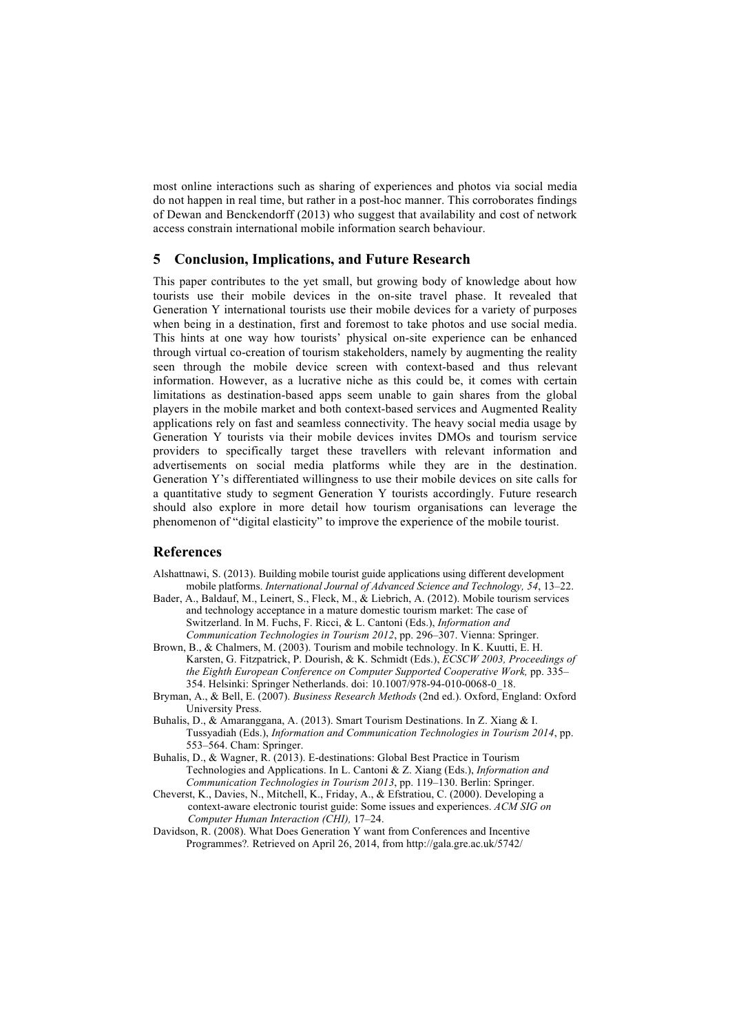most online interactions such as sharing of experiences and photos via social media do not happen in real time, but rather in a post-hoc manner. This corroborates findings of Dewan and Benckendorff (2013) who suggest that availability and cost of network access constrain international mobile information search behaviour.

## **5 Conclusion, Implications, and Future Research**

This paper contributes to the yet small, but growing body of knowledge about how tourists use their mobile devices in the on-site travel phase. It revealed that Generation Y international tourists use their mobile devices for a variety of purposes when being in a destination, first and foremost to take photos and use social media. This hints at one way how tourists' physical on-site experience can be enhanced through virtual co-creation of tourism stakeholders, namely by augmenting the reality seen through the mobile device screen with context-based and thus relevant information. However, as a lucrative niche as this could be, it comes with certain limitations as destination-based apps seem unable to gain shares from the global players in the mobile market and both context-based services and Augmented Reality applications rely on fast and seamless connectivity. The heavy social media usage by Generation Y tourists via their mobile devices invites DMOs and tourism service providers to specifically target these travellers with relevant information and advertisements on social media platforms while they are in the destination. Generation Y's differentiated willingness to use their mobile devices on site calls for a quantitative study to segment Generation Y tourists accordingly. Future research should also explore in more detail how tourism organisations can leverage the phenomenon of "digital elasticity" to improve the experience of the mobile tourist.

## **References**

- Alshattnawi, S. (2013). Building mobile tourist guide applications using different development mobile platforms. *International Journal of Advanced Science and Technology, 54*, 13–22.
- Bader, A., Baldauf, M., Leinert, S., Fleck, M., & Liebrich, A. (2012). Mobile tourism services and technology acceptance in a mature domestic tourism market: The case of Switzerland. In M. Fuchs, F. Ricci, & L. Cantoni (Eds.), *Information and Communication Technologies in Tourism 2012*, pp. 296–307. Vienna: Springer.
- Brown, B., & Chalmers, M. (2003). Tourism and mobile technology. In K. Kuutti, E. H. Karsten, G. Fitzpatrick, P. Dourish, & K. Schmidt (Eds.), *ECSCW 2003, Proceedings of the Eighth European Conference on Computer Supported Cooperative Work,* pp. 335– 354. Helsinki: Springer Netherlands. doi: 10.1007/978-94-010-0068-0\_18.
- Bryman, A., & Bell, E. (2007). *Business Research Methods* (2nd ed.). Oxford, England: Oxford University Press.
- Buhalis, D., & Amaranggana, A. (2013). Smart Tourism Destinations. In Z. Xiang & I. Tussyadiah (Eds.), *Information and Communication Technologies in Tourism 2014*, pp. 553–564. Cham: Springer.
- Buhalis, D., & Wagner, R. (2013). E-destinations: Global Best Practice in Tourism Technologies and Applications. In L. Cantoni & Z. Xiang (Eds.), *Information and Communication Technologies in Tourism 2013*, pp. 119–130. Berlin: Springer.
- Cheverst, K., Davies, N., Mitchell, K., Friday, A., & Efstratiou, C. (2000). Developing a context-aware electronic tourist guide: Some issues and experiences. *ACM SIG on Computer Human Interaction (CHI),* 17–24.
- Davidson, R. (2008). What Does Generation Y want from Conferences and Incentive Programmes?*.* Retrieved on April 26, 2014, from http://gala.gre.ac.uk/5742/